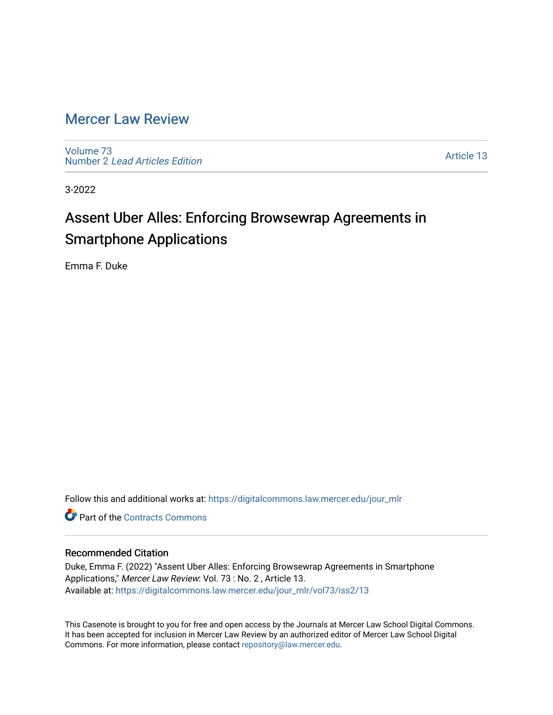# [Mercer Law Review](https://digitalcommons.law.mercer.edu/jour_mlr)

[Volume 73](https://digitalcommons.law.mercer.edu/jour_mlr/vol73) Number 2 [Lead Articles Edition](https://digitalcommons.law.mercer.edu/jour_mlr/vol73/iss2)

[Article 13](https://digitalcommons.law.mercer.edu/jour_mlr/vol73/iss2/13) 

3-2022

# Assent Uber Alles: Enforcing Browsewrap Agreements in Smartphone Applications

Emma F. Duke

Follow this and additional works at: [https://digitalcommons.law.mercer.edu/jour\\_mlr](https://digitalcommons.law.mercer.edu/jour_mlr?utm_source=digitalcommons.law.mercer.edu%2Fjour_mlr%2Fvol73%2Fiss2%2F13&utm_medium=PDF&utm_campaign=PDFCoverPages)

**C** Part of the [Contracts Commons](http://network.bepress.com/hgg/discipline/591?utm_source=digitalcommons.law.mercer.edu%2Fjour_mlr%2Fvol73%2Fiss2%2F13&utm_medium=PDF&utm_campaign=PDFCoverPages)

## Recommended Citation

Duke, Emma F. (2022) "Assent Uber Alles: Enforcing Browsewrap Agreements in Smartphone Applications," Mercer Law Review: Vol. 73 : No. 2 , Article 13. Available at: [https://digitalcommons.law.mercer.edu/jour\\_mlr/vol73/iss2/13](https://digitalcommons.law.mercer.edu/jour_mlr/vol73/iss2/13?utm_source=digitalcommons.law.mercer.edu%2Fjour_mlr%2Fvol73%2Fiss2%2F13&utm_medium=PDF&utm_campaign=PDFCoverPages) 

This Casenote is brought to you for free and open access by the Journals at Mercer Law School Digital Commons. It has been accepted for inclusion in Mercer Law Review by an authorized editor of Mercer Law School Digital Commons. For more information, please contact [repository@law.mercer.edu.](mailto:repository@law.mercer.edu)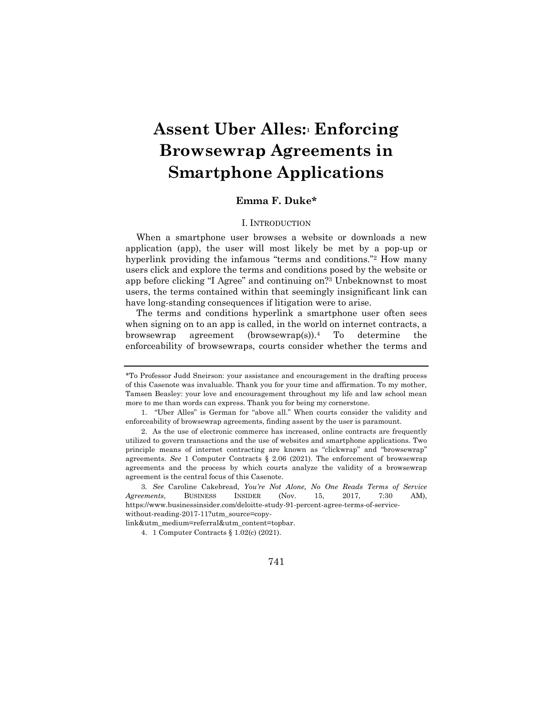# **Assent Uber Alles:<sup>1</sup> Enforcing Browsewrap Agreements in Smartphone Applications**

# **Emma F. Duke\***

### I. INTRODUCTION

When a smartphone user browses a website or downloads a new application (app), the user will most likely be met by a pop-up or hyperlink providing the infamous "terms and conditions."<sup>2</sup> How many users click and explore the terms and conditions posed by the website or app before clicking "I Agree" and continuing on?<sup>3</sup> Unbeknownst to most users, the terms contained within that seemingly insignificant link can have long-standing consequences if litigation were to arise.

The terms and conditions hyperlink a smartphone user often sees when signing on to an app is called, in the world on internet contracts, a browsewrap agreement (browsewrap(s)).<sup>4</sup> To determine the enforceability of browsewraps, courts consider whether the terms and

<sup>4.</sup> 1 Computer Contracts § 1.02(c) (2021).



<sup>\*</sup>To Professor Judd Sneirson: your assistance and encouragement in the drafting process of this Casenote was invaluable. Thank you for your time and affirmation. To my mother, Tamsen Beasley: your love and encouragement throughout my life and law school mean more to me than words can express. Thank you for being my cornerstone.

<sup>1.</sup> "Uber Alles" is German for "above all." When courts consider the validity and enforceability of browsewrap agreements, finding assent by the user is paramount.

<sup>2.</sup> As the use of electronic commerce has increased, online contracts are frequently utilized to govern transactions and the use of websites and smartphone applications. Two principle means of internet contracting are known as "clickwrap" and "browsewrap" agreements. *See* 1 Computer Contracts § 2.06 (2021). The enforcement of browsewrap agreements and the process by which courts analyze the validity of a browsewrap agreement is the central focus of this Casenote.

<sup>3</sup>*. See* Caroline Cakebread, *You're Not Alone, No One Reads Terms of Service Agreements*, BUSINESS INSIDER (Nov. 15, 2017, 7:30 AM), https://www.businessinsider.com/deloitte-study-91-percent-agree-terms-of-servicewithout-reading-2017-11?utm\_source=copy-

link&utm\_medium=referral&utm\_content=topbar.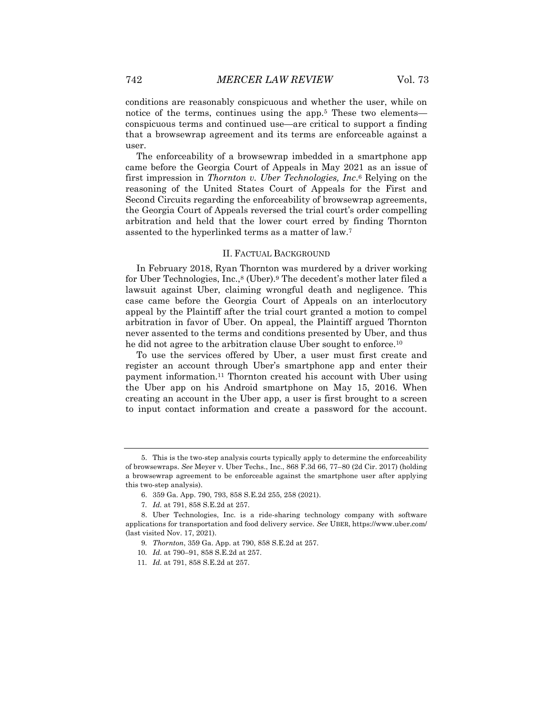conditions are reasonably conspicuous and whether the user, while on notice of the terms, continues using the app.<sup>5</sup> These two elementsconspicuous terms and continued use—are critical to support a finding that a browsewrap agreement and its terms are enforceable against a user.

The enforceability of a browsewrap imbedded in a smartphone app came before the Georgia Court of Appeals in May 2021 as an issue of first impression in *Thornton v. Uber Technologies, Inc*. <sup>6</sup> Relying on the reasoning of the United States Court of Appeals for the First and Second Circuits regarding the enforceability of browsewrap agreements, the Georgia Court of Appeals reversed the trial court's order compelling arbitration and held that the lower court erred by finding Thornton assented to the hyperlinked terms as a matter of law.<sup>7</sup>

#### II. FACTUAL BACKGROUND

In February 2018, Ryan Thornton was murdered by a driver working for Uber Technologies, Inc.,<sup>8</sup> (Uber).<sup>9</sup> The decedent's mother later filed a lawsuit against Uber, claiming wrongful death and negligence. This case came before the Georgia Court of Appeals on an interlocutory appeal by the Plaintiff after the trial court granted a motion to compel arbitration in favor of Uber. On appeal, the Plaintiff argued Thornton never assented to the terms and conditions presented by Uber, and thus he did not agree to the arbitration clause Uber sought to enforce.<sup>10</sup>

To use the services offered by Uber, a user must first create and register an account through Uber's smartphone app and enter their payment information.<sup>11</sup> Thornton created his account with Uber using the Uber app on his Android smartphone on May 15, 2016. When creating an account in the Uber app, a user is first brought to a screen to input contact information and create a password for the account.

<sup>5.</sup> This is the two-step analysis courts typically apply to determine the enforceability of browsewraps. *See* Meyer v. Uber Techs., Inc., 868 F.3d 66, 77–80 (2d Cir. 2017) (holding a browsewrap agreement to be enforceable against the smartphone user after applying this two-step analysis).

<sup>6.</sup> 359 Ga. App. 790, 793, 858 S.E.2d 255, 258 (2021).

<sup>7</sup>*. Id.* at 791, 858 S.E.2d at 257.

<sup>8.</sup> Uber Technologies, Inc. is a ride-sharing technology company with software applications for transportation and food delivery service. *See* UBER, https://www.uber.com/ (last visited Nov. 17, 2021).

<sup>9</sup>*. Thornton*, 359 Ga. App. at 790, 858 S.E.2d at 257.

<sup>10</sup>*. Id.* at 790–91, 858 S.E.2d at 257.

<sup>11</sup>*. Id.* at 791, 858 S.E.2d at 257.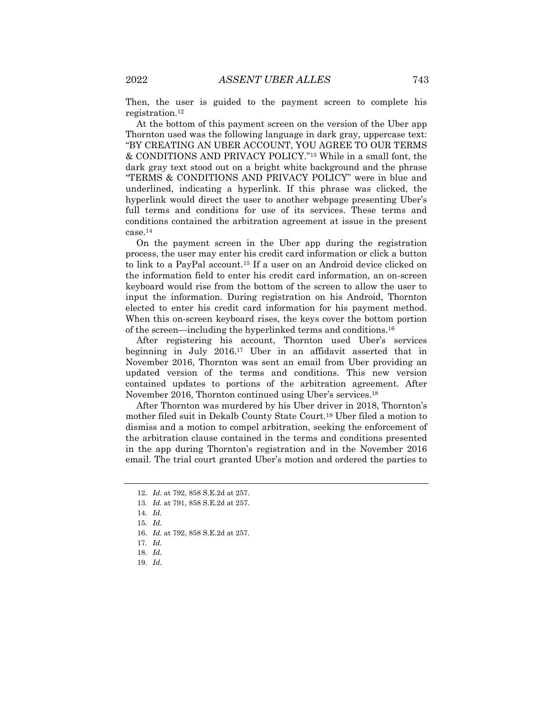Then, the user is guided to the payment screen to complete his registration.<sup>12</sup>

At the bottom of this payment screen on the version of the Uber app Thornton used was the following language in dark gray, uppercase text: "BY CREATING AN UBER ACCOUNT, YOU AGREE TO OUR TERMS & CONDITIONS AND PRIVACY POLICY."<sup>13</sup> While in a small font, the dark gray text stood out on a bright white background and the phrase "TERMS & CONDITIONS AND PRIVACY POLICY" were in blue and underlined, indicating a hyperlink. If this phrase was clicked, the hyperlink would direct the user to another webpage presenting Uber's full terms and conditions for use of its services. These terms and conditions contained the arbitration agreement at issue in the present case.<sup>14</sup>

On the payment screen in the Uber app during the registration process, the user may enter his credit card information or click a button to link to a PayPal account.<sup>15</sup> If a user on an Android device clicked on the information field to enter his credit card information, an on-screen keyboard would rise from the bottom of the screen to allow the user to input the information. During registration on his Android, Thornton elected to enter his credit card information for his payment method. When this on-screen keyboard rises, the keys cover the bottom portion of the screen—including the hyperlinked terms and conditions.<sup>16</sup>

After registering his account, Thornton used Uber's services beginning in July 2016.<sup>17</sup> Uber in an affidavit asserted that in November 2016, Thornton was sent an email from Uber providing an updated version of the terms and conditions. This new version contained updates to portions of the arbitration agreement. After November 2016, Thornton continued using Uber's services. 18

After Thornton was murdered by his Uber driver in 2018, Thornton's mother filed suit in Dekalb County State Court.<sup>19</sup> Uber filed a motion to dismiss and a motion to compel arbitration, seeking the enforcement of the arbitration clause contained in the terms and conditions presented in the app during Thornton's registration and in the November 2016 email. The trial court granted Uber's motion and ordered the parties to

19*. Id.*

<sup>12</sup>*. Id.* at 792, 858 S.E.2d at 257.

<sup>13</sup>*. Id.* at 791, 858 S.E.2d at 257.

<sup>14</sup>*. Id.*

<sup>15</sup>*. Id.*

<sup>16</sup>*. Id.* at 792, 858 S.E.2d at 257.

<sup>17</sup>*. Id.*

<sup>18</sup>*. Id.*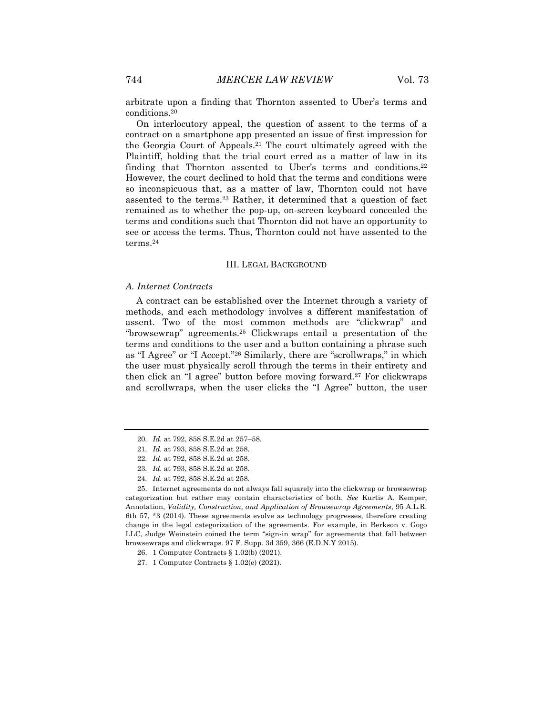arbitrate upon a finding that Thornton assented to Uber's terms and conditions.<sup>20</sup>

On interlocutory appeal, the question of assent to the terms of a contract on a smartphone app presented an issue of first impression for the Georgia Court of Appeals.<sup>21</sup> The court ultimately agreed with the Plaintiff, holding that the trial court erred as a matter of law in its finding that Thornton assented to Uber's terms and conditions.<sup>22</sup> However, the court declined to hold that the terms and conditions were so inconspicuous that, as a matter of law, Thornton could not have assented to the terms.<sup>23</sup> Rather, it determined that a question of fact remained as to whether the pop-up, on-screen keyboard concealed the terms and conditions such that Thornton did not have an opportunity to see or access the terms. Thus, Thornton could not have assented to the terms.<sup>24</sup>

#### III. LEGAL BACKGROUND

#### *A. Internet Contracts*

A contract can be established over the Internet through a variety of methods, and each methodology involves a different manifestation of assent. Two of the most common methods are "clickwrap" and "browsewrap" agreements.<sup>25</sup> Clickwraps entail a presentation of the terms and conditions to the user and a button containing a phrase such as "I Agree" or "I Accept."<sup>26</sup> Similarly, there are "scrollwraps," in which the user must physically scroll through the terms in their entirety and then click an "I agree" button before moving forward.<sup>27</sup> For clickwraps and scrollwraps, when the user clicks the "I Agree" button, the user

<sup>20</sup>*. Id.* at 792, 858 S.E.2d at 257–58.

<sup>21</sup>*. Id.* at 793, 858 S.E.2d at 258.

<sup>22</sup>*. Id.* at 792, 858 S.E.2d at 258.

<sup>23</sup>*. Id.* at 793, 858 S.E.2d at 258.

<sup>24</sup>*. Id.* at 792, 858 S.E.2d at 258.

<sup>25.</sup> Internet agreements do not always fall squarely into the clickwrap or browsewrap categorization but rather may contain characteristics of both. *See* Kurtis A. Kemper, Annotation, *Validity, Construction, and Application of Browsewrap Agreements*, 95 A.L.R. 6th 57, \*3 (2014). These agreements evolve as technology progresses, therefore creating change in the legal categorization of the agreements. For example, in Berkson v. Gogo LLC, Judge Weinstein coined the term "sign-in wrap" for agreements that fall between browsewraps and clickwraps. 97 F. Supp. 3d 359, 366 (E.D.N.Y 2015).

<sup>26.</sup> 1 Computer Contracts § 1.02(b) (2021).

<sup>27.</sup> 1 Computer Contracts § 1.02(e) (2021).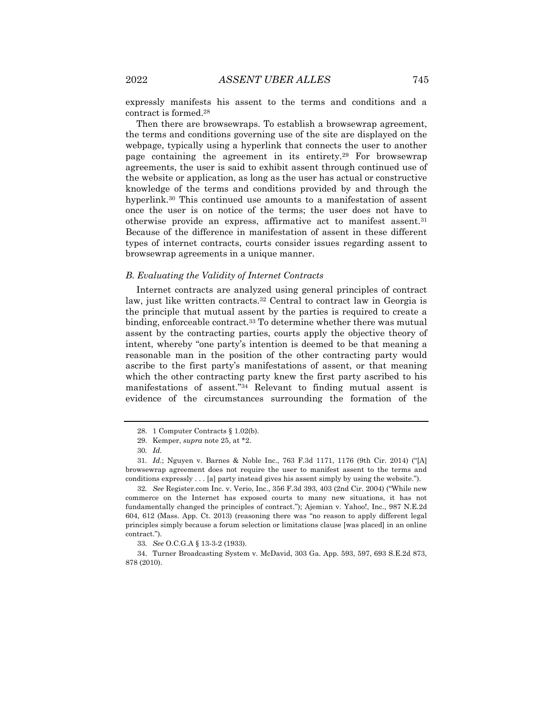expressly manifests his assent to the terms and conditions and a contract is formed.<sup>28</sup>

Then there are browsewraps. To establish a browsewrap agreement, the terms and conditions governing use of the site are displayed on the webpage, typically using a hyperlink that connects the user to another page containing the agreement in its entirety.<sup>29</sup> For browsewrap agreements, the user is said to exhibit assent through continued use of the website or application, as long as the user has actual or constructive knowledge of the terms and conditions provided by and through the hyperlink.<sup>30</sup> This continued use amounts to a manifestation of assent once the user is on notice of the terms; the user does not have to otherwise provide an express, affirmative act to manifest assent.<sup>31</sup> Because of the difference in manifestation of assent in these different types of internet contracts, courts consider issues regarding assent to browsewrap agreements in a unique manner.

#### *B. Evaluating the Validity of Internet Contracts*

Internet contracts are analyzed using general principles of contract law, just like written contracts.<sup>32</sup> Central to contract law in Georgia is the principle that mutual assent by the parties is required to create a binding, enforceable contract.<sup>33</sup> To determine whether there was mutual assent by the contracting parties, courts apply the objective theory of intent, whereby "one party's intention is deemed to be that meaning a reasonable man in the position of the other contracting party would ascribe to the first party's manifestations of assent, or that meaning which the other contracting party knew the first party ascribed to his manifestations of assent."<sup>34</sup> Relevant to finding mutual assent is evidence of the circumstances surrounding the formation of the

32*. See* Register.com Inc. v. Verio, Inc., 356 F.3d 393, 403 (2nd Cir. 2004) ("While new commerce on the Internet has exposed courts to many new situations, it has not fundamentally changed the principles of contract."); Ajemian v. Yahoo!, Inc., 987 N.E.2d 604, 612 (Mass. App. Ct. 2013) (reasoning there was "no reason to apply different legal principles simply because a forum selection or limitations clause [was placed] in an online contract.").

<sup>28.</sup> 1 Computer Contracts § 1.02(b).

<sup>29.</sup> Kemper, *supra* note 25, at \*2.

<sup>30</sup>*. Id.*

<sup>31</sup>*. Id.*; Nguyen v. Barnes & Noble Inc., 763 F.3d 1171, 1176 (9th Cir. 2014) ("[A] browsewrap agreement does not require the user to manifest assent to the terms and conditions expressly . . . [a] party instead gives his assent simply by using the website.").

<sup>33</sup>*. See* O.C.G.A § 13-3-2 (1933).

<sup>34.</sup> Turner Broadcasting System v. McDavid, 303 Ga. App. 593, 597, 693 S.E.2d 873, 878 (2010).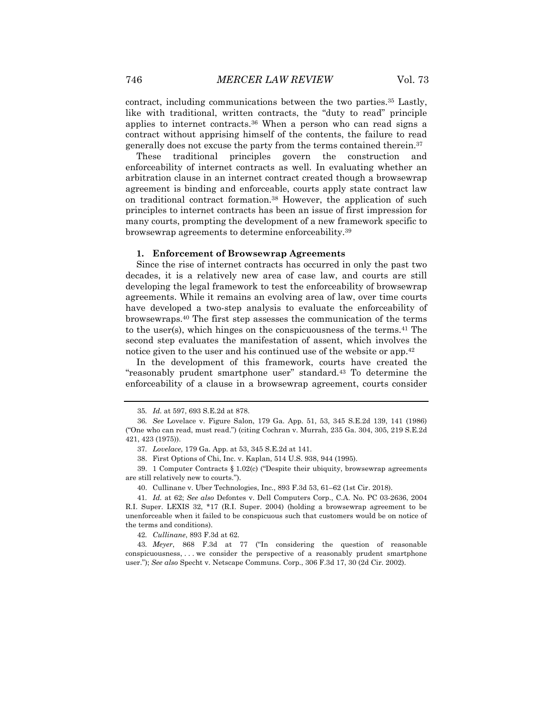contract, including communications between the two parties.<sup>35</sup> Lastly, like with traditional, written contracts, the "duty to read" principle applies to internet contracts.<sup>36</sup> When a person who can read signs a contract without apprising himself of the contents, the failure to read generally does not excuse the party from the terms contained therein.<sup>37</sup>

These traditional principles govern the construction and enforceability of internet contracts as well. In evaluating whether an arbitration clause in an internet contract created though a browsewrap agreement is binding and enforceable, courts apply state contract law on traditional contract formation.<sup>38</sup> However, the application of such principles to internet contracts has been an issue of first impression for many courts, prompting the development of a new framework specific to browsewrap agreements to determine enforceability.<sup>39</sup>

#### **1. Enforcement of Browsewrap Agreements**

Since the rise of internet contracts has occurred in only the past two decades, it is a relatively new area of case law, and courts are still developing the legal framework to test the enforceability of browsewrap agreements. While it remains an evolving area of law, over time courts have developed a two-step analysis to evaluate the enforceability of browsewraps.<sup>40</sup> The first step assesses the communication of the terms to the user(s), which hinges on the conspicuousness of the terms.<sup>41</sup> The second step evaluates the manifestation of assent, which involves the notice given to the user and his continued use of the website or app.<sup>42</sup>

In the development of this framework, courts have created the "reasonably prudent smartphone user" standard.<sup>43</sup> To determine the enforceability of a clause in a browsewrap agreement, courts consider

40. Cullinane v. Uber Technologies, Inc., 893 F.3d 53, 61–62 (1st Cir. 2018).

42*. Cullinane*, 893 F.3d at 62.

<sup>35</sup>*. Id.* at 597, 693 S.E.2d at 878.

<sup>36</sup>*. See* Lovelace v. Figure Salon, 179 Ga. App. 51, 53, 345 S.E.2d 139, 141 (1986) ("One who can read, must read.") (citing Cochran v. Murrah, 235 Ga. 304, 305, 219 S.E.2d 421, 423 (1975)).

<sup>37</sup>*. Lovelace*, 179 Ga. App. at 53, 345 S.E.2d at 141.

<sup>38.</sup> First Options of Chi, Inc. v. Kaplan, 514 U.S. 938, 944 (1995).

<sup>39.</sup> 1 Computer Contracts § 1.02(c) ("Despite their ubiquity, browsewrap agreements are still relatively new to courts.").

<sup>41</sup>*. Id.* at 62; *See also* Defontes v. Dell Computers Corp., C.A. No. PC 03-2636, 2004 R.I. Super. LEXIS 32, \*17 (R.I. Super. 2004) (holding a browsewrap agreement to be unenforceable when it failed to be conspicuous such that customers would be on notice of the terms and conditions).

<sup>43</sup>*. Meyer*, 868 F.3d at 77 ("In considering the question of reasonable conspicuousness, . . . we consider the perspective of a reasonably prudent smartphone user."); *See also* Specht v. Netscape Communs. Corp., 306 F.3d 17, 30 (2d Cir. 2002).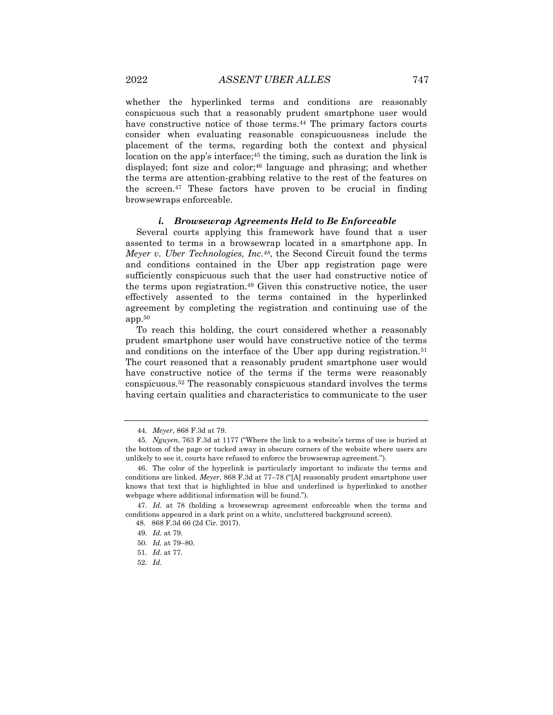whether the hyperlinked terms and conditions are reasonably conspicuous such that a reasonably prudent smartphone user would have constructive notice of those terms.<sup>44</sup> The primary factors courts consider when evaluating reasonable conspicuousness include the placement of the terms, regarding both the context and physical location on the app's interface;<sup>45</sup> the timing, such as duration the link is displayed; font size and color;<sup>46</sup> language and phrasing; and whether the terms are attention-grabbing relative to the rest of the features on the screen.<sup>47</sup> These factors have proven to be crucial in finding browsewraps enforceable.

#### *i. Browsewrap Agreements Held to Be Enforceable*

Several courts applying this framework have found that a user assented to terms in a browsewrap located in a smartphone app. In *Meyer v. Uber Technologies, Inc.48*, the Second Circuit found the terms and conditions contained in the Uber app registration page were sufficiently conspicuous such that the user had constructive notice of the terms upon registration.<sup>49</sup> Given this constructive notice, the user effectively assented to the terms contained in the hyperlinked agreement by completing the registration and continuing use of the app.<sup>50</sup>

To reach this holding, the court considered whether a reasonably prudent smartphone user would have constructive notice of the terms and conditions on the interface of the Uber app during registration.<sup>51</sup> The court reasoned that a reasonably prudent smartphone user would have constructive notice of the terms if the terms were reasonably conspicuous.<sup>52</sup> The reasonably conspicuous standard involves the terms having certain qualities and characteristics to communicate to the user

<sup>44</sup>*. Meyer*, 868 F.3d at 79.

<sup>45</sup>*. Nguyen*, 763 F.3d at 1177 ("Where the link to a website's terms of use is buried at the bottom of the page or tucked away in obscure corners of the website where users are unlikely to see it, courts have refused to enforce the browsewrap agreement.").

<sup>46.</sup> The color of the hyperlink is particularly important to indicate the terms and conditions are linked. *Meyer*, 868 F.3d at 77–78 ("[A] reasonably prudent smartphone user knows that text that is highlighted in blue and underlined is hyperlinked to another webpage where additional information will be found.").

<sup>47</sup>*. Id*. at 78 (holding a browsewrap agreement enforceable when the terms and conditions appeared in a dark print on a white, uncluttered background screen).

<sup>48. 868</sup> F.3d 66 (2d Cir. 2017).

<sup>49</sup>*. Id.* at 79.

<sup>50</sup>*. Id.* at 79–80.

<sup>51</sup>*. Id.* at 77.

<sup>52</sup>*. Id.*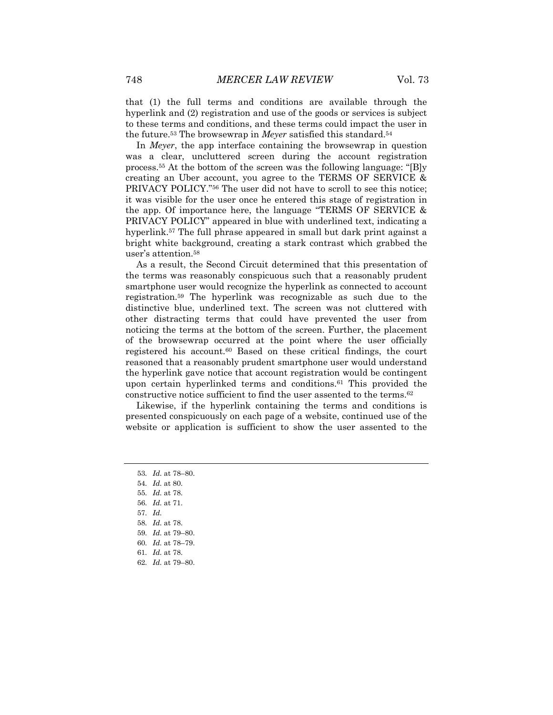that (1) the full terms and conditions are available through the hyperlink and (2) registration and use of the goods or services is subject to these terms and conditions, and these terms could impact the user in the future.<sup>53</sup> The browsewrap in *Meyer* satisfied this standard.<sup>54</sup>

In *Meyer*, the app interface containing the browsewrap in question was a clear, uncluttered screen during the account registration process.<sup>55</sup> At the bottom of the screen was the following language: "[B]y creating an Uber account, you agree to the TERMS OF SERVICE & PRIVACY POLICY."<sup>56</sup> The user did not have to scroll to see this notice; it was visible for the user once he entered this stage of registration in the app. Of importance here, the language "TERMS OF SERVICE & PRIVACY POLICY" appeared in blue with underlined text, indicating a hyperlink.<sup>57</sup> The full phrase appeared in small but dark print against a bright white background, creating a stark contrast which grabbed the user's attention.<sup>58</sup>

As a result, the Second Circuit determined that this presentation of the terms was reasonably conspicuous such that a reasonably prudent smartphone user would recognize the hyperlink as connected to account registration.<sup>59</sup> The hyperlink was recognizable as such due to the distinctive blue, underlined text. The screen was not cluttered with other distracting terms that could have prevented the user from noticing the terms at the bottom of the screen. Further, the placement of the browsewrap occurred at the point where the user officially registered his account.<sup>60</sup> Based on these critical findings, the court reasoned that a reasonably prudent smartphone user would understand the hyperlink gave notice that account registration would be contingent upon certain hyperlinked terms and conditions.<sup>61</sup> This provided the constructive notice sufficient to find the user assented to the terms.<sup>62</sup>

Likewise, if the hyperlink containing the terms and conditions is presented conspicuously on each page of a website, continued use of the website or application is sufficient to show the user assented to the

- 53*. Id.* at 78–80.
- 54*. Id.* at 80.
- 55*. Id.* at 78.
- 56*. Id.* at 71.
- 57*. Id.*
- 58*. Id.* at 78.
- 59*. Id.* at 79–80.
- 60*. Id.* at 78–79.
- 61*. Id.* at 78.
- 62*. Id.* at 79–80.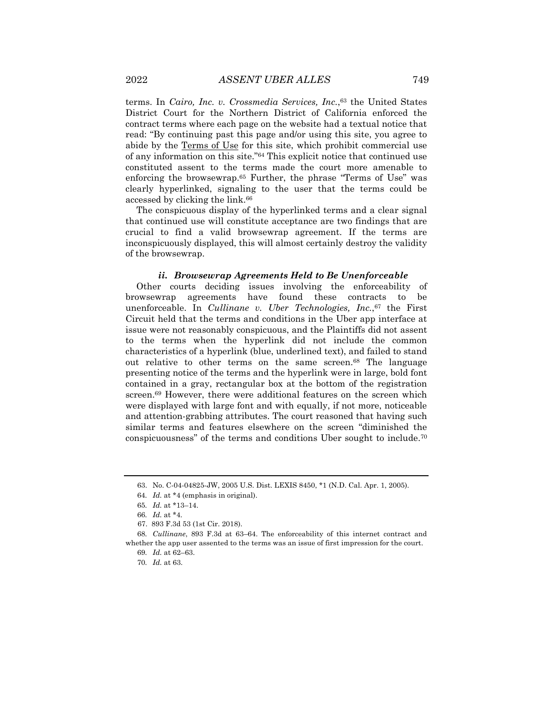terms. In *Cairo, Inc. v. Crossmedia Services, Inc.*, <sup>63</sup> the United States District Court for the Northern District of California enforced the contract terms where each page on the website had a textual notice that read: "By continuing past this page and/or using this site, you agree to abide by the Terms of Use for this site, which prohibit commercial use of any information on this site."<sup>64</sup> This explicit notice that continued use constituted assent to the terms made the court more amenable to enforcing the browsewrap.<sup>65</sup> Further, the phrase "Terms of Use" was clearly hyperlinked, signaling to the user that the terms could be accessed by clicking the link.<sup>66</sup>

The conspicuous display of the hyperlinked terms and a clear signal that continued use will constitute acceptance are two findings that are crucial to find a valid browsewrap agreement. If the terms are inconspicuously displayed, this will almost certainly destroy the validity of the browsewrap.

#### *ii. Browsewrap Agreements Held to Be Unenforceable*

Other courts deciding issues involving the enforceability of browsewrap agreements have found these contracts to be unenforceable. In *Cullinane v. Uber Technologies, Inc.*, <sup>67</sup> the First Circuit held that the terms and conditions in the Uber app interface at issue were not reasonably conspicuous, and the Plaintiffs did not assent to the terms when the hyperlink did not include the common characteristics of a hyperlink (blue, underlined text), and failed to stand out relative to other terms on the same screen.<sup>68</sup> The language presenting notice of the terms and the hyperlink were in large, bold font contained in a gray, rectangular box at the bottom of the registration screen.<sup>69</sup> However, there were additional features on the screen which were displayed with large font and with equally, if not more, noticeable and attention-grabbing attributes. The court reasoned that having such similar terms and features elsewhere on the screen "diminished the conspicuousness" of the terms and conditions Uber sought to include.<sup>70</sup>

<sup>63.</sup> No. C-04-04825-JW, 2005 U.S. Dist. LEXIS 8450, \*1 (N.D. Cal. Apr. 1, 2005).

<sup>64</sup>*. Id.* at \*4 (emphasis in original).

<sup>65</sup>*. Id.* at \*13–14.

<sup>66</sup>*. Id.* at \*4.

<sup>67.</sup> 893 F.3d 53 (1st Cir. 2018).

<sup>68</sup>*. Cullinane*, 893 F.3d at 63–64. The enforceability of this internet contract and whether the app user assented to the terms was an issue of first impression for the court.

<sup>69</sup>*. Id.* at 62–63.

<sup>70</sup>*. Id.* at 63.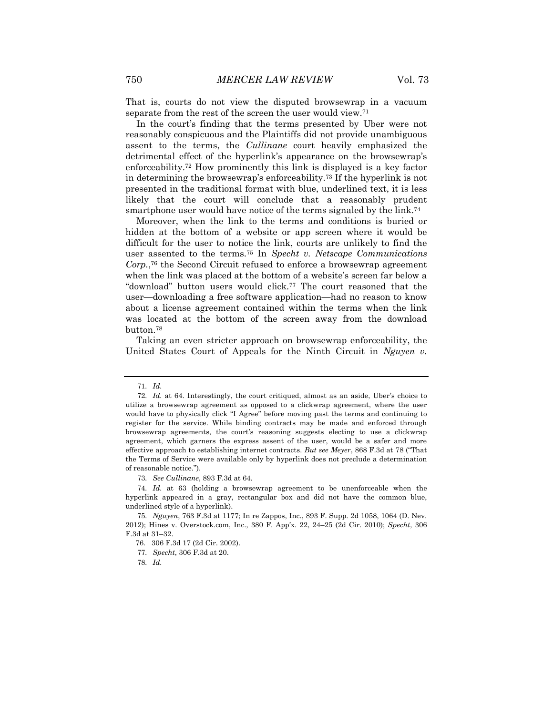That is, courts do not view the disputed browsewrap in a vacuum separate from the rest of the screen the user would view.<sup>71</sup>

In the court's finding that the terms presented by Uber were not reasonably conspicuous and the Plaintiffs did not provide unambiguous assent to the terms, the *Cullinane* court heavily emphasized the detrimental effect of the hyperlink's appearance on the browsewrap's enforceability.<sup>72</sup> How prominently this link is displayed is a key factor in determining the browsewrap's enforceability.<sup>73</sup> If the hyperlink is not presented in the traditional format with blue, underlined text, it is less likely that the court will conclude that a reasonably prudent smartphone user would have notice of the terms signaled by the link.<sup>74</sup>

Moreover, when the link to the terms and conditions is buried or hidden at the bottom of a website or app screen where it would be difficult for the user to notice the link, courts are unlikely to find the user assented to the terms.<sup>75</sup> In *Specht v. Netscape Communications Corp.*, <sup>76</sup> the Second Circuit refused to enforce a browsewrap agreement when the link was placed at the bottom of a website's screen far below a "download" button users would click.<sup>77</sup> The court reasoned that the user—downloading a free software application—had no reason to know about a license agreement contained within the terms when the link was located at the bottom of the screen away from the download button.<sup>78</sup>

Taking an even stricter approach on browsewrap enforceability, the United States Court of Appeals for the Ninth Circuit in *Nguyen v.* 

<sup>71</sup>*. Id.*

<sup>72</sup>*. Id.* at 64. Interestingly, the court critiqued, almost as an aside, Uber's choice to utilize a browsewrap agreement as opposed to a clickwrap agreement, where the user would have to physically click "I Agree" before moving past the terms and continuing to register for the service. While binding contracts may be made and enforced through browsewrap agreements, the court's reasoning suggests electing to use a clickwrap agreement, which garners the express assent of the user, would be a safer and more effective approach to establishing internet contracts. *But see Meyer*, 868 F.3d at 78 ("That the Terms of Service were available only by hyperlink does not preclude a determination of reasonable notice.").

<sup>73</sup>*. See Cullinane*, 893 F.3d at 64.

<sup>74</sup>*. Id.* at 63 (holding a browsewrap agreement to be unenforceable when the hyperlink appeared in a gray, rectangular box and did not have the common blue, underlined style of a hyperlink).

<sup>75</sup>*. Nguyen*, 763 F.3d at 1177; In re Zappos, Inc., 893 F. Supp. 2d 1058, 1064 (D. Nev. 2012); Hines v. Overstock.com, Inc., 380 F. App'x. 22, 24–25 (2d Cir. 2010); *Specht*, 306 F.3d at 31–32.

<sup>76. 306</sup> F.3d 17 (2d Cir. 2002).

<sup>77</sup>*. Specht*, 306 F.3d at 20.

<sup>78</sup>*. Id.*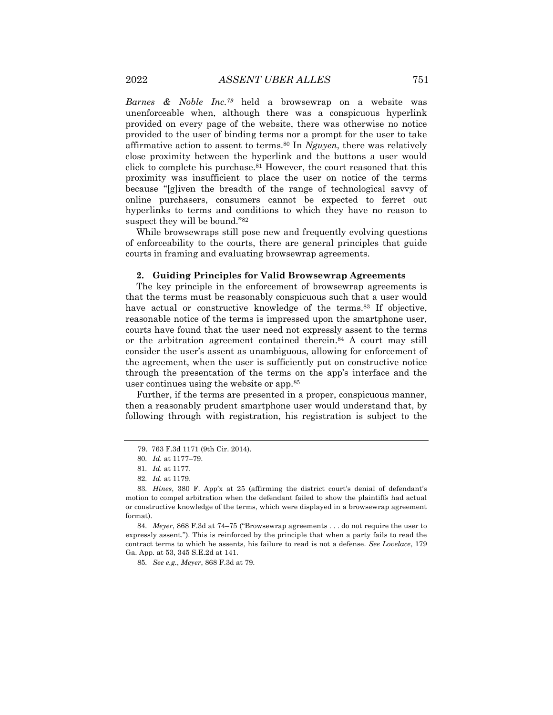*Barnes & Noble Inc.<sup>79</sup>* held a browsewrap on a website was unenforceable when, although there was a conspicuous hyperlink provided on every page of the website, there was otherwise no notice provided to the user of binding terms nor a prompt for the user to take affirmative action to assent to terms.<sup>80</sup> In *Nguyen*, there was relatively close proximity between the hyperlink and the buttons a user would click to complete his purchase.<sup>81</sup> However, the court reasoned that this proximity was insufficient to place the user on notice of the terms because "[g]iven the breadth of the range of technological savvy of online purchasers, consumers cannot be expected to ferret out hyperlinks to terms and conditions to which they have no reason to suspect they will be bound."<sup>82</sup>

While browsewraps still pose new and frequently evolving questions of enforceability to the courts, there are general principles that guide courts in framing and evaluating browsewrap agreements.

#### **2. Guiding Principles for Valid Browsewrap Agreements**

The key principle in the enforcement of browsewrap agreements is that the terms must be reasonably conspicuous such that a user would have actual or constructive knowledge of the terms.<sup>83</sup> If objective, reasonable notice of the terms is impressed upon the smartphone user, courts have found that the user need not expressly assent to the terms or the arbitration agreement contained therein.<sup>84</sup> A court may still consider the user's assent as unambiguous, allowing for enforcement of the agreement, when the user is sufficiently put on constructive notice through the presentation of the terms on the app's interface and the user continues using the website or app.<sup>85</sup>

Further, if the terms are presented in a proper, conspicuous manner, then a reasonably prudent smartphone user would understand that, by following through with registration, his registration is subject to the

85*. See e.g.*, *Meyer*, 868 F.3d at 79.

<sup>79. 763</sup> F.3d 1171 (9th Cir. 2014).

<sup>80</sup>*. Id.* at 1177–79.

<sup>81</sup>*. Id.* at 1177.

<sup>82</sup>*. Id.* at 1179.

<sup>83</sup>*. Hines*, 380 F. App'x at 25 (affirming the district court's denial of defendant's motion to compel arbitration when the defendant failed to show the plaintiffs had actual or constructive knowledge of the terms, which were displayed in a browsewrap agreement format).

<sup>84</sup>*. Meyer*, 868 F.3d at 74–75 ("Browsewrap agreements . . . do not require the user to expressly assent."). This is reinforced by the principle that when a party fails to read the contract terms to which he assents, his failure to read is not a defense. *See Lovelace*, 179 Ga. App. at 53, 345 S.E.2d at 141.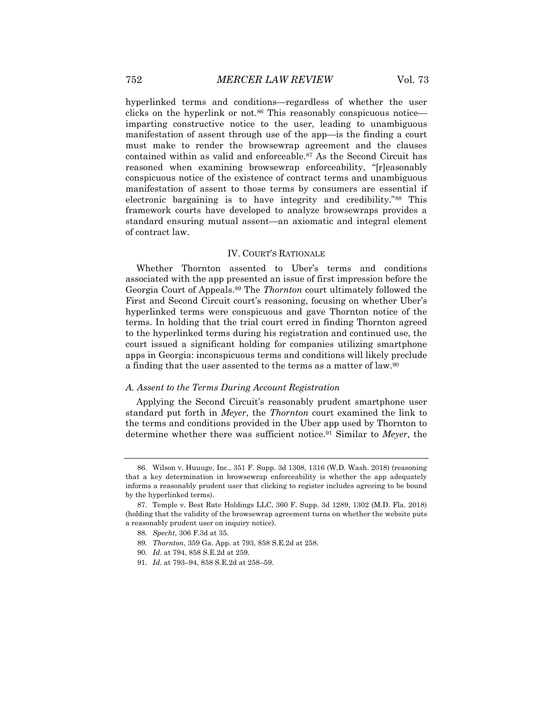hyperlinked terms and conditions—regardless of whether the user clicks on the hyperlink or not.<sup>86</sup> This reasonably conspicuous notice imparting constructive notice to the user, leading to unambiguous manifestation of assent through use of the app—is the finding a court must make to render the browsewrap agreement and the clauses contained within as valid and enforceable.<sup>87</sup> As the Second Circuit has reasoned when examining browsewrap enforceability, "[r]easonably conspicuous notice of the existence of contract terms and unambiguous manifestation of assent to those terms by consumers are essential if electronic bargaining is to have integrity and credibility."<sup>88</sup> This framework courts have developed to analyze browsewraps provides a standard ensuring mutual assent—an axiomatic and integral element of contract law.

### IV. COURT'S RATIONALE

Whether Thornton assented to Uber's terms and conditions associated with the app presented an issue of first impression before the Georgia Court of Appeals.<sup>89</sup> The *Thornton* court ultimately followed the First and Second Circuit court's reasoning, focusing on whether Uber's hyperlinked terms were conspicuous and gave Thornton notice of the terms. In holding that the trial court erred in finding Thornton agreed to the hyperlinked terms during his registration and continued use, the court issued a significant holding for companies utilizing smartphone apps in Georgia: inconspicuous terms and conditions will likely preclude a finding that the user assented to the terms as a matter of law.<sup>90</sup>

#### *A. Assent to the Terms During Account Registration*

Applying the Second Circuit's reasonably prudent smartphone user standard put forth in *Meyer*, the *Thornton* court examined the link to the terms and conditions provided in the Uber app used by Thornton to determine whether there was sufficient notice.<sup>91</sup> Similar to *Meyer*, the

- 90*. Id.* at 794, 858 S.E.2d at 259.
- 91*. Id.* at 793–94, 858 S.E.2d at 258–59.

<sup>86.</sup> Wilson v. Huuuge, Inc., 351 F. Supp. 3d 1308, 1316 (W.D. Wash. 2018) (reasoning that a key determination in browsewrap enforceability is whether the app adequately informs a reasonably prudent user that clicking to register includes agreeing to be bound by the hyperlinked terms).

<sup>87.</sup> Temple v. Best Rate Holdings LLC, 360 F. Supp. 3d 1289, 1302 (M.D. Fla. 2018) (holding that the validity of the browsewrap agreement turns on whether the website puts a reasonably prudent user on inquiry notice).

<sup>88</sup>*. Specht*, 306 F.3d at 35.

<sup>89</sup>*. Thornton*, 359 Ga. App. at 793, 858 S.E.2d at 258.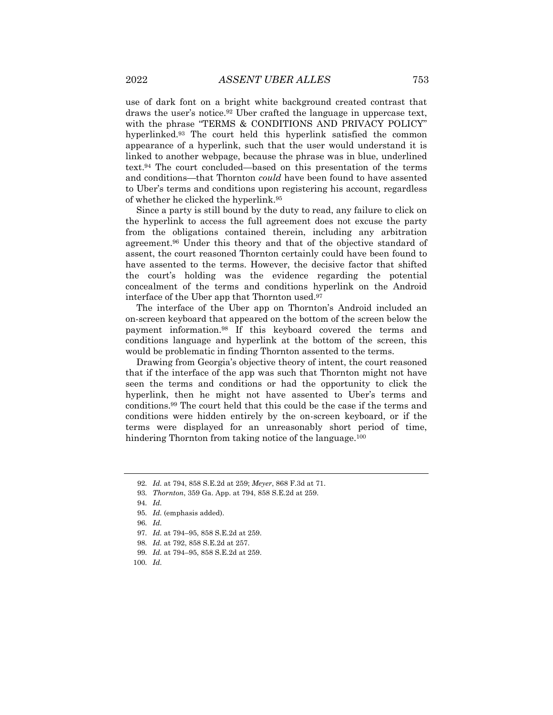use of dark font on a bright white background created contrast that draws the user's notice.<sup>92</sup> Uber crafted the language in uppercase text, with the phrase "TERMS & CONDITIONS AND PRIVACY POLICY" hyperlinked.<sup>93</sup> The court held this hyperlink satisfied the common appearance of a hyperlink, such that the user would understand it is linked to another webpage, because the phrase was in blue, underlined text.<sup>94</sup> The court concluded—based on this presentation of the terms and conditions—that Thornton *could* have been found to have assented to Uber's terms and conditions upon registering his account, regardless of whether he clicked the hyperlink.<sup>95</sup>

Since a party is still bound by the duty to read, any failure to click on the hyperlink to access the full agreement does not excuse the party from the obligations contained therein, including any arbitration agreement.<sup>96</sup> Under this theory and that of the objective standard of assent, the court reasoned Thornton certainly could have been found to have assented to the terms. However, the decisive factor that shifted the court's holding was the evidence regarding the potential concealment of the terms and conditions hyperlink on the Android interface of the Uber app that Thornton used.<sup>97</sup>

The interface of the Uber app on Thornton's Android included an on-screen keyboard that appeared on the bottom of the screen below the payment information.<sup>98</sup> If this keyboard covered the terms and conditions language and hyperlink at the bottom of the screen, this would be problematic in finding Thornton assented to the terms.

Drawing from Georgia's objective theory of intent, the court reasoned that if the interface of the app was such that Thornton might not have seen the terms and conditions or had the opportunity to click the hyperlink, then he might not have assented to Uber's terms and conditions.<sup>99</sup> The court held that this could be the case if the terms and conditions were hidden entirely by the on-screen keyboard, or if the terms were displayed for an unreasonably short period of time, hindering Thornton from taking notice of the language.<sup>100</sup>

93*. Thornton*, 359 Ga. App. at 794, 858 S.E.2d at 259.

- 97*. Id.* at 794–95, 858 S.E.2d at 259.
- 98*. Id.* at 792, 858 S.E.2d at 257.
- 99*. Id.* at 794–95, 858 S.E.2d at 259.
- 100*. Id*.

<sup>92</sup>*. Id.* at 794, 858 S.E.2d at 259; *Meyer*, 868 F.3d at 71.

<sup>94</sup>*. Id.*

<sup>95</sup>*. Id.* (emphasis added).

<sup>96</sup>*. Id.*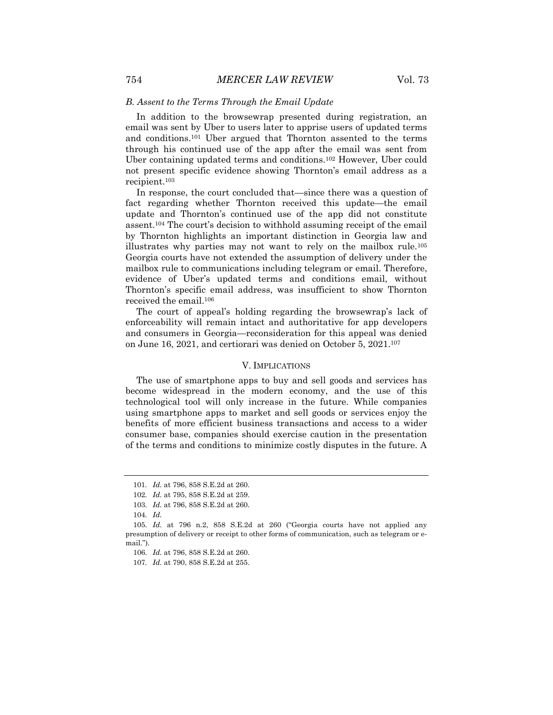#### *B. Assent to the Terms Through the Email Update*

In addition to the browsewrap presented during registration, an email was sent by Uber to users later to apprise users of updated terms and conditions.<sup>101</sup> Uber argued that Thornton assented to the terms through his continued use of the app after the email was sent from Uber containing updated terms and conditions.<sup>102</sup> However, Uber could not present specific evidence showing Thornton's email address as a recipient.<sup>103</sup>

In response, the court concluded that—since there was a question of fact regarding whether Thornton received this update—the email update and Thornton's continued use of the app did not constitute assent.<sup>104</sup> The court's decision to withhold assuming receipt of the email by Thornton highlights an important distinction in Georgia law and illustrates why parties may not want to rely on the mailbox rule.<sup>105</sup> Georgia courts have not extended the assumption of delivery under the mailbox rule to communications including telegram or email. Therefore, evidence of Uber's updated terms and conditions email, without Thornton's specific email address, was insufficient to show Thornton received the email.<sup>106</sup>

The court of appeal's holding regarding the browsewrap's lack of enforceability will remain intact and authoritative for app developers and consumers in Georgia—reconsideration for this appeal was denied on June 16, 2021, and certiorari was denied on October 5, 2021.<sup>107</sup>

#### V. IMPLICATIONS

The use of smartphone apps to buy and sell goods and services has become widespread in the modern economy, and the use of this technological tool will only increase in the future. While companies using smartphone apps to market and sell goods or services enjoy the benefits of more efficient business transactions and access to a wider consumer base, companies should exercise caution in the presentation of the terms and conditions to minimize costly disputes in the future. A

<sup>101</sup>*. Id.* at 796, 858 S.E.2d at 260.

<sup>102</sup>*. Id.* at 795, 858 S.E.2d at 259.

<sup>103</sup>*. Id.* at 796, 858 S.E.2d at 260.

<sup>104</sup>*. Id.*

<sup>105</sup>*. Id.* at 796 n.2, 858 S.E.2d at 260 ("Georgia courts have not applied any presumption of delivery or receipt to other forms of communication, such as telegram or email.").

<sup>106</sup>*. Id.* at 796, 858 S.E.2d at 260.

<sup>107</sup>*. Id.* at 790, 858 S.E.2d at 255.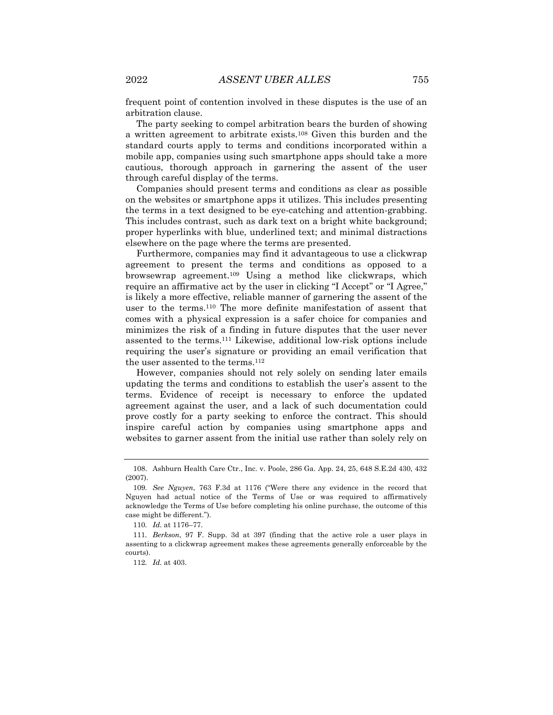frequent point of contention involved in these disputes is the use of an arbitration clause.

The party seeking to compel arbitration bears the burden of showing a written agreement to arbitrate exists.<sup>108</sup> Given this burden and the standard courts apply to terms and conditions incorporated within a mobile app, companies using such smartphone apps should take a more cautious, thorough approach in garnering the assent of the user through careful display of the terms.

Companies should present terms and conditions as clear as possible on the websites or smartphone apps it utilizes. This includes presenting the terms in a text designed to be eye-catching and attention-grabbing. This includes contrast, such as dark text on a bright white background; proper hyperlinks with blue, underlined text; and minimal distractions elsewhere on the page where the terms are presented.

Furthermore, companies may find it advantageous to use a clickwrap agreement to present the terms and conditions as opposed to a browsewrap agreement.<sup>109</sup> Using a method like clickwraps, which require an affirmative act by the user in clicking "I Accept" or "I Agree," is likely a more effective, reliable manner of garnering the assent of the user to the terms.<sup>110</sup> The more definite manifestation of assent that comes with a physical expression is a safer choice for companies and minimizes the risk of a finding in future disputes that the user never assented to the terms.<sup>111</sup> Likewise, additional low-risk options include requiring the user's signature or providing an email verification that the user assented to the terms.<sup>112</sup>

However, companies should not rely solely on sending later emails updating the terms and conditions to establish the user's assent to the terms. Evidence of receipt is necessary to enforce the updated agreement against the user, and a lack of such documentation could prove costly for a party seeking to enforce the contract. This should inspire careful action by companies using smartphone apps and websites to garner assent from the initial use rather than solely rely on

<sup>108.</sup> Ashburn Health Care Ctr., Inc. v. Poole, 286 Ga. App. 24, 25, 648 S.E.2d 430, 432 (2007).

<sup>109</sup>*. See Nguyen*, 763 F.3d at 1176 ("Were there any evidence in the record that Nguyen had actual notice of the Terms of Use or was required to affirmatively acknowledge the Terms of Use before completing his online purchase, the outcome of this case might be different.").

<sup>110</sup>*. Id.* at 1176–77.

<sup>111</sup>*. Berkson*, 97 F. Supp. 3d at 397 (finding that the active role a user plays in assenting to a clickwrap agreement makes these agreements generally enforceable by the courts).

<sup>112</sup>*. Id.* at 403.